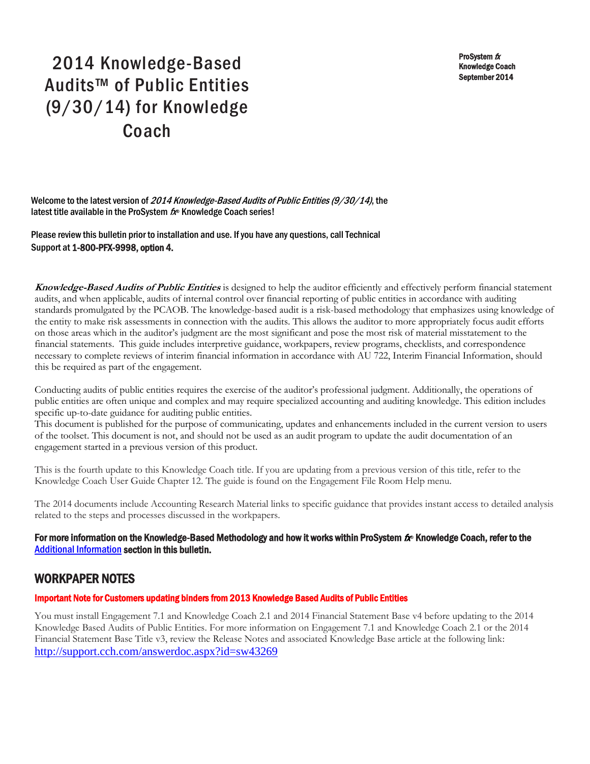ProSystem fx Knowledge Coach September 2014

# 2014 Knowledge-Based Audits™ of Public Entities (9/30/14) for Knowledge Coach

Welcome to the latest version of 2014 Knowledge-Based Audits of Public Entities (9/30/14), the latest title available in the ProSystem  $f_x$  Knowledge Coach series!

Please review this bulletin prior to installation and use. If you have any questions, call Technical Support at 1-800-PFX-9998, option 4.

**Knowledge-Based Audits of Public Entities** is designed to help the auditor efficiently and effectively perform financial statement audits, and when applicable, audits of internal control over financial reporting of public entities in accordance with auditing standards promulgated by the PCAOB. The knowledge-based audit is a risk-based methodology that emphasizes using knowledge of the entity to make risk assessments in connection with the audits. This allows the auditor to more appropriately focus audit efforts on those areas which in the auditor's judgment are the most significant and pose the most risk of material misstatement to the financial statements. This guide includes interpretive guidance, workpapers, review programs, checklists, and correspondence necessary to complete reviews of interim financial information in accordance with AU 722, Interim Financial Information, should this be required as part of the engagement.

Conducting audits of public entities requires the exercise of the auditor's professional judgment. Additionally, the operations of public entities are often unique and complex and may require specialized accounting and auditing knowledge. This edition includes specific up-to-date guidance for auditing public entities.

This document is published for the purpose of communicating, updates and enhancements included in the current version to users of the toolset. This document is not, and should not be used as an audit program to update the audit documentation of an engagement started in a previous version of this product.

This is the fourth update to this Knowledge Coach title. If you are updating from a previous version of this title, refer to the Knowledge Coach User Guide Chapter 12. The guide is found on the Engagement File Room Help menu.

The 2014 documents include Accounting Research Material links to specific guidance that provides instant access to detailed analysis related to the steps and processes discussed in the workpapers.

For more information on the Knowledge-Based Methodology and how it works within ProSystem  $f_\text{R}$  Knowledge Coach, refer to the [Additional Information s](#page-2-0)ection in this bulletin.

# WORKPAPER NOTES

#### Important Note for Customers updating binders from 2013 Knowledge Based Audits of Public Entities

You must install Engagement 7.1 and Knowledge Coach 2.1 and 2014 Financial Statement Base v4 before updating to the 2014 Knowledge Based Audits of Public Entities. For more information on Engagement 7.1 and Knowledge Coach 2.1 or the 2014 Financial Statement Base Title v3, review the Release Notes and associated Knowledge Base article at the following link: <http://support.cch.com/answerdoc.aspx?id=sw43269>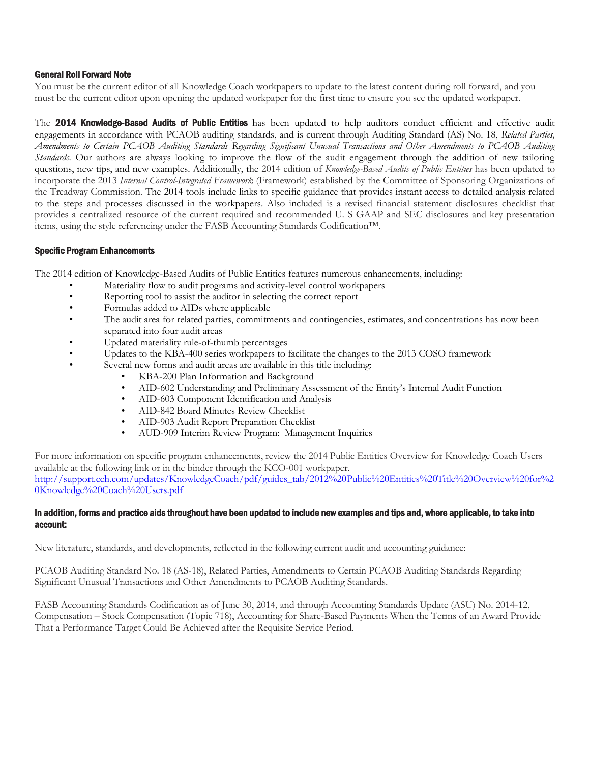#### General Roll Forward Note

You must be the current editor of all Knowledge Coach workpapers to update to the latest content during roll forward, and you must be the current editor upon opening the updated workpaper for the first time to ensure you see the updated workpaper.

The 2014 Knowledge-Based Audits of Public Entities has been updated to help auditors conduct efficient and effective audit engagements in accordance with PCAOB auditing standards, and is current through Auditing Standard (AS) No. 18, *Related Parties, Amendments to Certain PCAOB Auditing Standards Regarding Significant Unusual Transactions and Other Amendments to PCAOB Auditing Standards.* Our authors are always looking to improve the flow of the audit engagement through the addition of new tailoring questions, new tips, and new examples. Additionally, the 2014 edition of *Knowledge-Based Audits of Public Entities* has been updated to incorporate the 2013 *Internal Control-Integrated Framework* (Framework) established by the Committee of Sponsoring Organizations of the Treadway Commission. The 2014 tools include links to specific guidance that provides instant access to detailed analysis related to the steps and processes discussed in the workpapers. Also included is a revised financial statement disclosures checklist that provides a centralized resource of the current required and recommended U. S GAAP and SEC disclosures and key presentation items, using the style referencing under the FASB Accounting Standards Codification™.

#### Specific Program Enhancements

The 2014 edition of Knowledge-Based Audits of Public Entities features numerous enhancements, including:

- Materiality flow to audit programs and activity-level control workpapers
- Reporting tool to assist the auditor in selecting the correct report
- Formulas added to AIDs where applicable
- The audit area for related parties, commitments and contingencies, estimates, and concentrations has now been separated into four audit areas
- Updated materiality rule-of-thumb percentages
- Updates to the KBA-400 series workpapers to facilitate the changes to the 2013 COSO framework
	- Several new forms and audit areas are available in this title including:
		- KBA-200 Plan Information and Background
			- AID-602 Understanding and Preliminary Assessment of the Entity's Internal Audit Function
		- AID-603 Component Identification and Analysis
		- AID-842 Board Minutes Review Checklist
		- AID-903 Audit Report Preparation Checklist
		- AUD-909 Interim Review Program: Management Inquiries

For more information on specific program enhancements, review the 2014 Public Entities Overview for Knowledge Coach Users available at the following link or in the binder through the KCO-001 workpaper. [http://support.cch.com/updates/KnowledgeCoach/pdf/guides\\_tab/2012%20Public%20Entities%20Title%20Overview%20for%2](http://support.cch.com/updates/KnowledgeCoach/pdf/guides_tab/2012%20Public%20Entities%20Title%20Overview%20for%20Knowledge%20Coach%20Users.pdf) [0Knowledge%20Coach%20Users.pdf](http://support.cch.com/updates/KnowledgeCoach/pdf/guides_tab/2012%20Public%20Entities%20Title%20Overview%20for%20Knowledge%20Coach%20Users.pdf)

#### In addition, forms and practice aids throughout have been updated to include new examples and tips and, where applicable, to take into account:

New literature, standards, and developments, reflected in the following current audit and accounting guidance:

PCAOB Auditing Standard No. 18 (AS-18), Related Parties, Amendments to Certain PCAOB Auditing Standards Regarding Significant Unusual Transactions and Other Amendments to PCAOB Auditing Standards.

FASB Accounting Standards Codification as of June 30, 2014, and through Accounting Standards Update (ASU) No. 2014-12, Compensation – Stock Compensation (Topic 718), Accounting for Share-Based Payments When the Terms of an Award Provide That a Performance Target Could Be Achieved after the Requisite Service Period.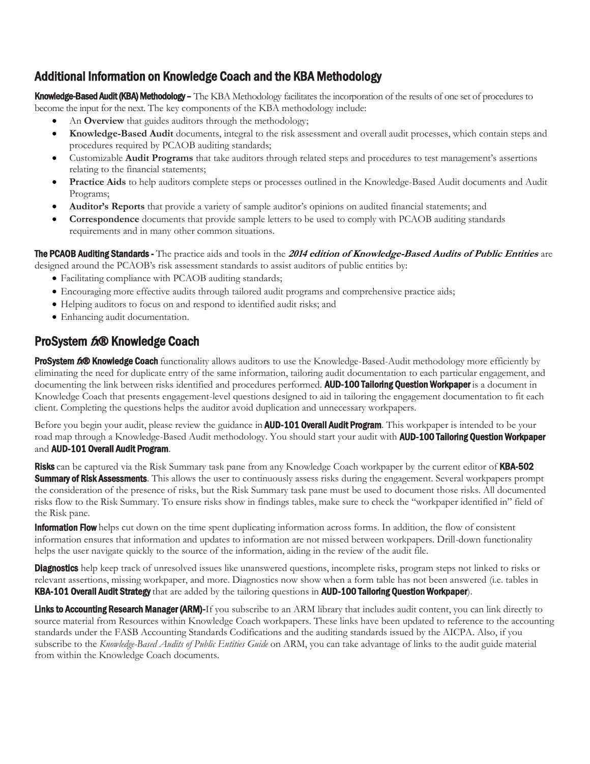# <span id="page-2-0"></span>Additional Information on Knowledge Coach and the KBA Methodology

Knowledge-Based Audit (KBA) Methodology – The KBA Methodology facilitates the incorporation of the results of one set of procedures to become the input for the next. The key components of the KBA methodology include:

- An **Overview** that guides auditors through the methodology;
- **Knowledge-Based Audit** documents, integral to the risk assessment and overall audit processes, which contain steps and procedures required by PCAOB auditing standards;
- Customizable **Audit Programs** that take auditors through related steps and procedures to test management's assertions relating to the financial statements;
- **Practice Aids** to help auditors complete steps or processes outlined in the Knowledge-Based Audit documents and Audit Programs;
- **Auditor's Reports** that provide a variety of sample auditor's opinions on audited financial statements; and
- **Correspondence** documents that provide sample letters to be used to comply with PCAOB auditing standards requirements and in many other common situations.

The PCAOB Auditing Standards - The practice aids and tools in the **2014 edition of Knowledge-Based Audits of Public Entities** are designed around the PCAOB's risk assessment standards to assist auditors of public entities by:

- Facilitating compliance with PCAOB auditing standards;
- Encouraging more effective audits through tailored audit programs and comprehensive practice aids;
- Helping auditors to focus on and respond to identified audit risks; and
- Enhancing audit documentation.

# ProSystem tx® Knowledge Coach

ProSystem 600 Knowledge Coach functionality allows auditors to use the Knowledge-Based-Audit methodology more efficiently by eliminating the need for duplicate entry of the same information, tailoring audit documentation to each particular engagement, and documenting the link between risks identified and procedures performed. **AUD-100 Tailoring Question Workpaper** is a document in Knowledge Coach that presents engagement-level questions designed to aid in tailoring the engagement documentation to fit each client. Completing the questions helps the auditor avoid duplication and unnecessary workpapers.

Before you begin your audit, please review the guidance in **AUD-101 Overall Audit Program**. This workpaper is intended to be your road map through a Knowledge-Based Audit methodology. You should start your audit with **AUD-100 Tailoring Question Workpaper** and AUD-101 Overall Audit Program.

Risks can be captured via the Risk Summary task pane from any Knowledge Coach workpaper by the current editor of KBA-502 **Summary of Risk Assessments**. This allows the user to continuously assess risks during the engagement. Several workpapers prompt the consideration of the presence of risks, but the Risk Summary task pane must be used to document those risks. All documented risks flow to the Risk Summary. To ensure risks show in findings tables, make sure to check the "workpaper identified in" field of the Risk pane.

**Information Flow** helps cut down on the time spent duplicating information across forms. In addition, the flow of consistent information ensures that information and updates to information are not missed between workpapers. Drill-down functionality helps the user navigate quickly to the source of the information, aiding in the review of the audit file.

**Diagnostics** help keep track of unresolved issues like unanswered questions, incomplete risks, program steps not linked to risks or relevant assertions, missing workpaper, and more. Diagnostics now show when a form table has not been answered (i.e. tables in KBA-101 Overall Audit Strategy that are added by the tailoring questions in AUD-100 Tailoring Question Workpaper).

Links to Accounting Research Manager (ARM)-If you subscribe to an ARM library that includes audit content, you can link directly to source material from Resources within Knowledge Coach workpapers. These links have been updated to reference to the accounting standards under the FASB Accounting Standards Codifications and the auditing standards issued by the AICPA. Also, if you subscribe to the *Knowledge-Based Audits of Public Entities Guide* on ARM, you can take advantage of links to the audit guide material from within the Knowledge Coach documents.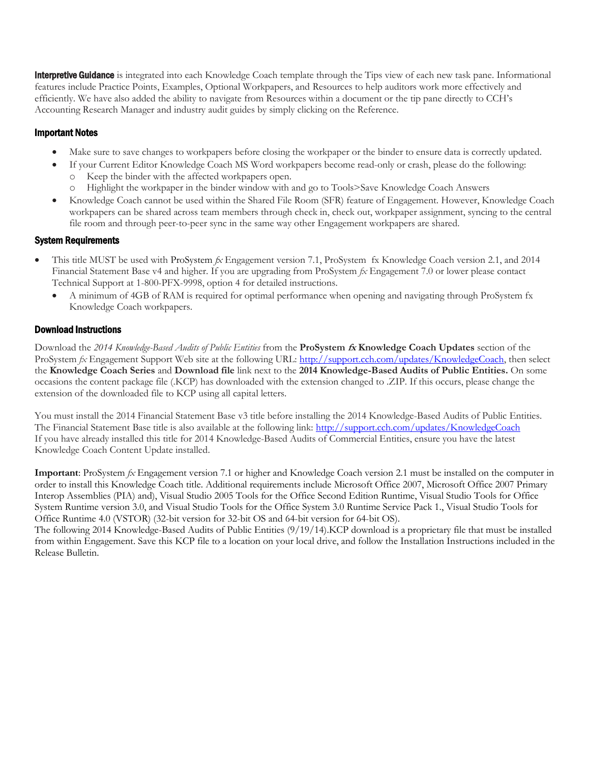**Interpretive Guidance** is integrated into each Knowledge Coach template through the Tips view of each new task pane. Informational features include Practice Points, Examples, Optional Workpapers, and Resources to help auditors work more effectively and efficiently. We have also added the ability to navigate from Resources within a document or the tip pane directly to CCH's Accounting Research Manager and industry audit guides by simply clicking on the Reference.

# Important Notes

- Make sure to save changes to workpapers before closing the workpaper or the binder to ensure data is correctly updated.
- If your Current Editor Knowledge Coach MS Word workpapers become read-only or crash, please do the following:
	- Keep the binder with the affected workpapers open.
	- Highlight the workpaper in the binder window with and go to Tools>Save Knowledge Coach Answers
- Knowledge Coach cannot be used within the Shared File Room (SFR) feature of Engagement. However, Knowledge Coach workpapers can be shared across team members through check in, check out, workpaper assignment, syncing to the central file room and through peer-to-peer sync in the same way other Engagement workpapers are shared.

# System Requirements

- This title MUST be used with ProSystem *fx* Engagement version 7.1, ProSystem fx Knowledge Coach version 2.1, and 2014 Financial Statement Base v4 and higher. If you are upgrading from ProSystem *fx* Engagement 7.0 or lower please contact Technical Support at 1-800-PFX-9998, option 4 for detailed instructions.
	- A minimum of 4GB of RAM is required for optimal performance when opening and navigating through ProSystem fx Knowledge Coach workpapers.

# Download Instructions

Download the *2014 Knowledge-Based Audits of Public Entities* from the **ProSystem fx Knowledge Coach Updates** section of the ProSystem *fx* Engagement Support Web site at the following URL: [http://support.cch.com/updates/KnowledgeCoach,](http://support.cch.com/updates/KnowledgeCoach) then select the **Knowledge Coach Series** and **Download file** link next to the **2014 Knowledge-Based Audits of Public Entities.** On some occasions the content package file (.KCP) has downloaded with the extension changed to .ZIP. If this occurs, please change the extension of the downloaded file to KCP using all capital letters.

You must install the 2014 Financial Statement Base v3 title before installing the 2014 Knowledge-Based Audits of Public Entities. The Financial Statement Base title is also available at the following link:<http://support.cch.com/updates/KnowledgeCoach> If you have already installed this title for 2014 Knowledge-Based Audits of Commercial Entities, ensure you have the latest Knowledge Coach Content Update installed.

**Important**: ProSystem *fx* Engagement version 7.1 or higher and Knowledge Coach version 2.1 must be installed on the computer in order to install this Knowledge Coach title. Additional requirements include Microsoft Office 2007, Microsoft Office 2007 Primary Interop Assemblies (PIA) and), Visual Studio 2005 Tools for the Office Second Edition Runtime, Visual Studio Tools for Office System Runtime version 3.0, and Visual Studio Tools for the Office System 3.0 Runtime Service Pack 1., Visual Studio Tools for Office Runtime 4.0 (VSTOR) (32-bit version for 32-bit OS and 64-bit version for 64-bit OS).

The following 2014 Knowledge-Based Audits of Public Entities (9/19/14).KCP download is a proprietary file that must be installed from within Engagement. Save this KCP file to a location on your local drive, and follow the Installation Instructions included in the Release Bulletin.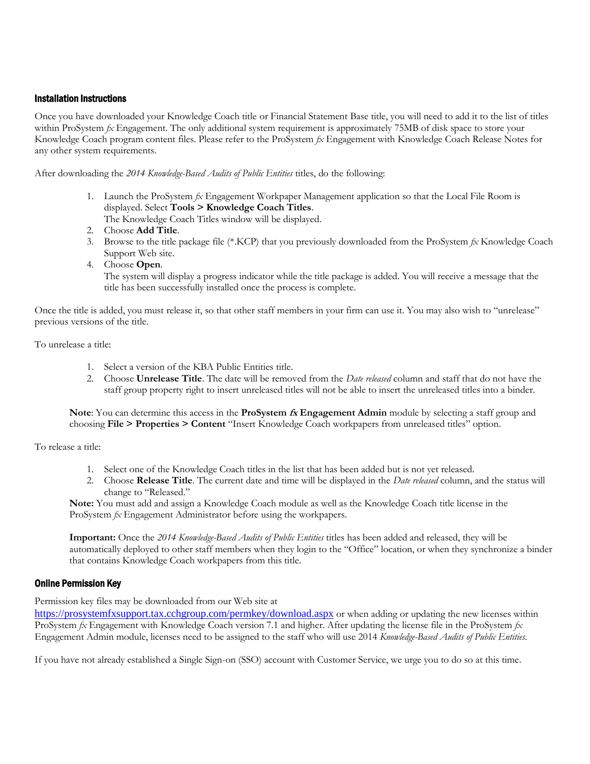#### Installation Instructions

Once you have downloaded your Knowledge Coach title or Financial Statement Base title, you will need to add it to the list of titles within ProSystem *fx* Engagement. The only additional system requirement is approximately 75MB of disk space to store your Knowledge Coach program content files. Please refer to the ProSystem *fx* Engagement with Knowledge Coach Release Notes for any other system requirements.

After downloading the *2014 Knowledge-Based Audits of Public Entities* titles, do the following:

- 1. Launch the ProSystem *fx* Engagement Workpaper Management application so that the Local File Room is displayed. Select **Tools > Knowledge Coach Titles**.
- The Knowledge Coach Titles window will be displayed.
- 2. Choose **Add Title**.
- 3. Browse to the title package file (\*.KCP) that you previously downloaded from the ProSystem *fx* Knowledge Coach Support Web site.
- 4. Choose **Open**.

The system will display a progress indicator while the title package is added. You will receive a message that the title has been successfully installed once the process is complete.

Once the title is added, you must release it, so that other staff members in your firm can use it. You may also wish to "unrelease" previous versions of the title.

#### To unrelease a title:

- 1. Select a version of the KBA Public Entities title.
- 2. Choose **Unrelease Title**. The date will be removed from the *Date released* column and staff that do not have the staff group property right to insert unreleased titles will not be able to insert the unreleased titles into a binder.

#### **Note**: You can determine this access in the **ProSystem fx Engagement Admin** module by selecting a staff group and choosing **File > Properties > Content** "Insert Knowledge Coach workpapers from unreleased titles" option.

To release a title:

- 1. Select one of the Knowledge Coach titles in the list that has been added but is not yet released.
- 2. Choose **Release Title**. The current date and time will be displayed in the *Date released* column, and the status will change to "Released."

**Note:** You must add and assign a Knowledge Coach module as well as the Knowledge Coach title license in the ProSystem *fx* Engagement Administrator before using the workpapers.

**Important:** Once the *2014 Knowledge-Based Audits of Public Entities* titles has been added and released, they will be automatically deployed to other staff members when they login to the "Office" location, or when they synchronize a binder that contains Knowledge Coach workpapers from this title.

## Online Permission Key

Permission key files may be downloaded from our Web site at

<https://prosystemfxsupport.tax.cchgroup.com/permkey/download.aspx> or when adding or updating the new licenses within ProSystem *fx* Engagement with Knowledge Coach version 7.1 and higher. After updating the license file in the ProSystem *fx*  Engagement Admin module, licenses need to be assigned to the staff who will use 2014 *Knowledge-Based Audits of Public Entities*.

If you have not already established a Single Sign-on (SSO) account with Customer Service, we urge you to do so at this time.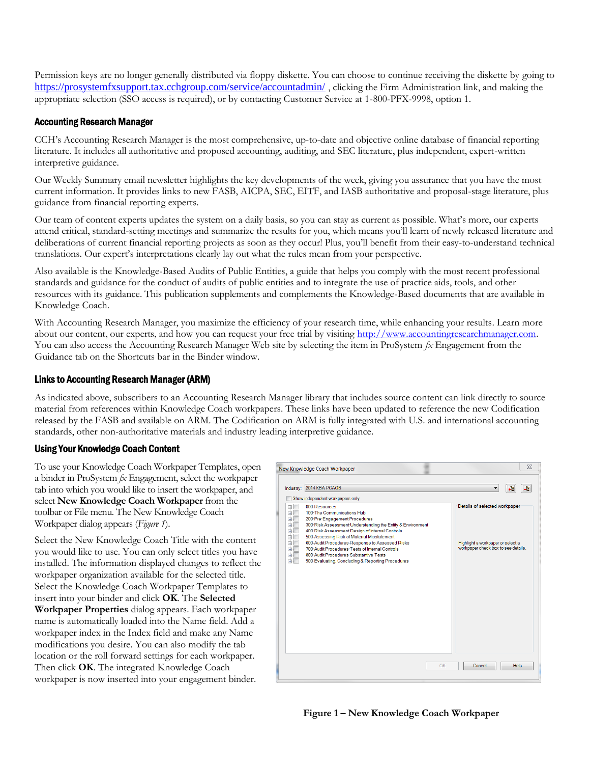Permission keys are no longer generally distributed via floppy diskette. You can choose to continue receiving the diskette by going to <https://prosystemfxsupport.tax.cchgroup.com/service/accountadmin/>, clicking the Firm Administration link, and making the appropriate selection (SSO access is required), or by contacting Customer Service at 1-800-PFX-9998, option 1.

# Accounting Research Manager

CCH's Accounting Research Manager is the most comprehensive, up-to-date and objective online database of financial reporting literature. It includes all authoritative and proposed accounting, auditing, and SEC literature, plus independent, expert-written interpretive guidance.

Our Weekly Summary email newsletter highlights the key developments of the week, giving you assurance that you have the most current information. It provides links to new FASB, AICPA, SEC, EITF, and IASB authoritative and proposal-stage literature, plus guidance from financial reporting experts.

Our team of content experts updates the system on a daily basis, so you can stay as current as possible. What's more, our experts attend critical, standard-setting meetings and summarize the results for you, which means you'll learn of newly released literature and deliberations of current financial reporting projects as soon as they occur! Plus, you'll benefit from their easy-to-understand technical translations. Our expert's interpretations clearly lay out what the rules mean from your perspective.

Also available is the Knowledge-Based Audits of Public Entities, a guide that helps you comply with the most recent professional standards and guidance for the conduct of audits of public entities and to integrate the use of practice aids, tools, and other resources with its guidance. This publication supplements and complements the Knowledge-Based documents that are available in Knowledge Coach.

With Accounting Research Manager, you maximize the efficiency of your research time, while enhancing your results. Learn more about our content, our experts, and how you can request your free trial by visiting http://www.accountingresearchmanager.com. You can also access the Accounting Research Manager Web site by selecting the item in ProSystem *fx* Engagement from the Guidance tab on the Shortcuts bar in the Binder window.

#### Links to Accounting Research Manager (ARM)

As indicated above, subscribers to an Accounting Research Manager library that includes source content can link directly to source material from references within Knowledge Coach workpapers. These links have been updated to reference the new Codification released by the FASB and available on ARM. The Codification on ARM is fully integrated with U.S. and international accounting standards, other non-authoritative materials and industry leading interpretive guidance.

## Using Your Knowledge Coach Content

To use your Knowledge Coach Workpaper Templates, open a binder in ProSystem *fx* Engagement, select the workpaper tab into which you would like to insert the workpaper, and select **New Knowledge Coach Workpaper** from the toolbar or File menu. The New Knowledge Coach Workpaper dialog appears (*Figure 1*).

Select the New Knowledge Coach Title with the content you would like to use. You can only select titles you have installed. The information displayed changes to reflect the workpaper organization available for the selected title. Select the Knowledge Coach Workpaper Templates to insert into your binder and click **OK**. The **Selected Workpaper Properties** dialog appears. Each workpaper name is automatically loaded into the Name field. Add a workpaper index in the Index field and make any Name modifications you desire. You can also modify the tab location or the roll forward settings for each workpaper. Then click **OK**. The integrated Knowledge Coach workpaper is now inserted into your engagement binder.